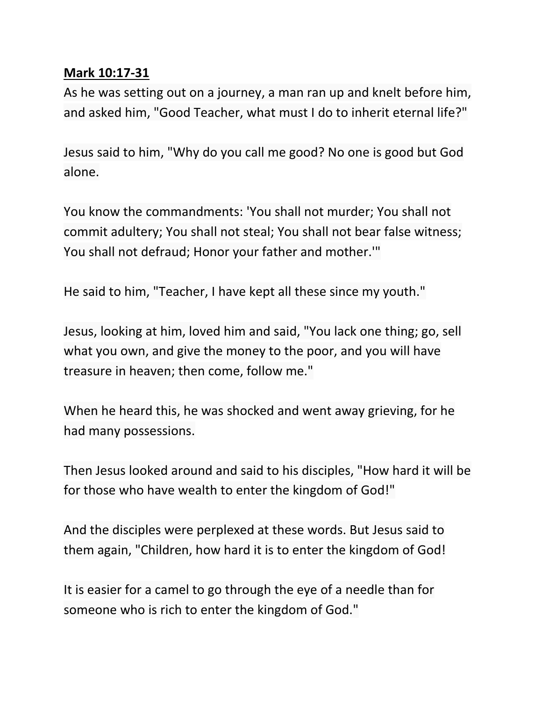## **Mark 10:17-31**

As he was setting out on a journey, a man ran up and knelt before him, and asked him, "Good Teacher, what must I do to inherit eternal life?"

Jesus said to him, "Why do you call me good? No one is good but God alone.

You know the commandments: 'You shall not murder; You shall not commit adultery; You shall not steal; You shall not bear false witness; You shall not defraud; Honor your father and mother.'"

He said to him, "Teacher, I have kept all these since my youth."

Jesus, looking at him, loved him and said, "You lack one thing; go, sell what you own, and give the money to the poor, and you will have treasure in heaven; then come, follow me."

When he heard this, he was shocked and went away grieving, for he had many possessions.

Then Jesus looked around and said to his disciples, "How hard it will be for those who have wealth to enter the kingdom of God!"

And the disciples were perplexed at these words. But Jesus said to them again, "Children, how hard it is to enter the kingdom of God!

It is easier for a camel to go through the eye of a needle than for someone who is rich to enter the kingdom of God."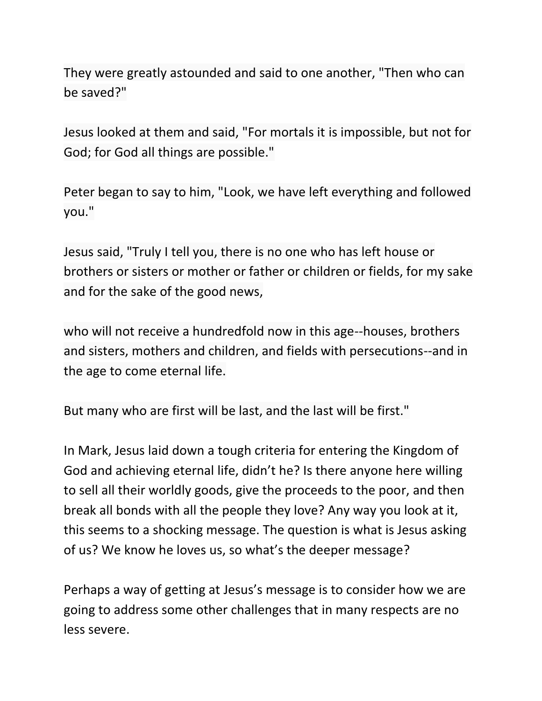They were greatly astounded and said to one another, "Then who can be saved?"

Jesus looked at them and said, "For mortals it is impossible, but not for God; for God all things are possible."

Peter began to say to him, "Look, we have left everything and followed you."

Jesus said, "Truly I tell you, there is no one who has left house or brothers or sisters or mother or father or children or fields, for my sake and for the sake of the good news,

who will not receive a hundredfold now in this age--houses, brothers and sisters, mothers and children, and fields with persecutions--and in the age to come eternal life.

But many who are first will be last, and the last will be first."

In Mark, Jesus laid down a tough criteria for entering the Kingdom of God and achieving eternal life, didn't he? Is there anyone here willing to sell all their worldly goods, give the proceeds to the poor, and then break all bonds with all the people they love? Any way you look at it, this seems to a shocking message. The question is what is Jesus asking of us? We know he loves us, so what's the deeper message?

Perhaps a way of getting at Jesus's message is to consider how we are going to address some other challenges that in many respects are no less severe.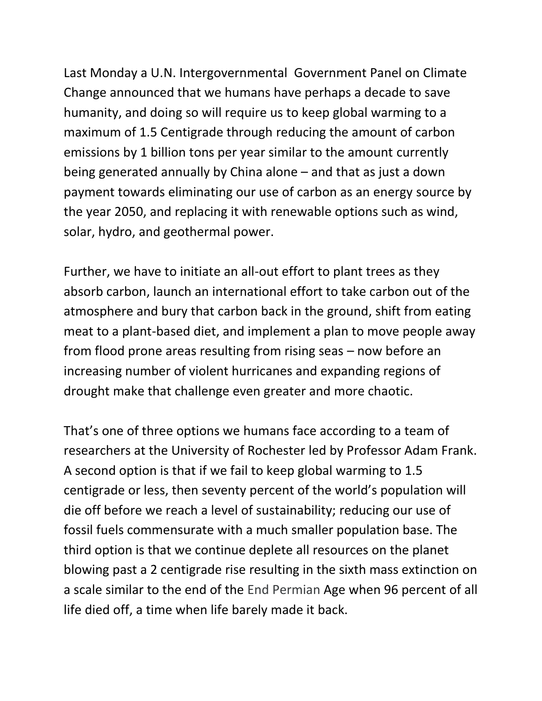Last Monday a U.N. Intergovernmental Government Panel on Climate Change announced that we humans have perhaps a decade to save humanity, and doing so will require us to keep global warming to a maximum of 1.5 Centigrade through reducing the amount of carbon emissions by 1 billion tons per year similar to the amount currently being generated annually by China alone – and that as just a down payment towards eliminating our use of carbon as an energy source by the year 2050, and replacing it with renewable options such as wind, solar, hydro, and geothermal power.

Further, we have to initiate an all-out effort to plant trees as they absorb carbon, launch an international effort to take carbon out of the atmosphere and bury that carbon back in the ground, shift from eating meat to a plant-based diet, and implement a plan to move people away from flood prone areas resulting from rising seas – now before an increasing number of violent hurricanes and expanding regions of drought make that challenge even greater and more chaotic.

That's one of three options we humans face according to a team of researchers at the University of Rochester led by Professor Adam Frank. A second option is that if we fail to keep global warming to 1.5 centigrade or less, then seventy percent of the world's population will die off before we reach a level of sustainability; reducing our use of fossil fuels commensurate with a much smaller population base. The third option is that we continue deplete all resources on the planet blowing past a 2 centigrade rise resulting in the sixth mass extinction on a scale similar to the end of the End Permian Age when 96 percent of all life died off, a time when life barely made it back.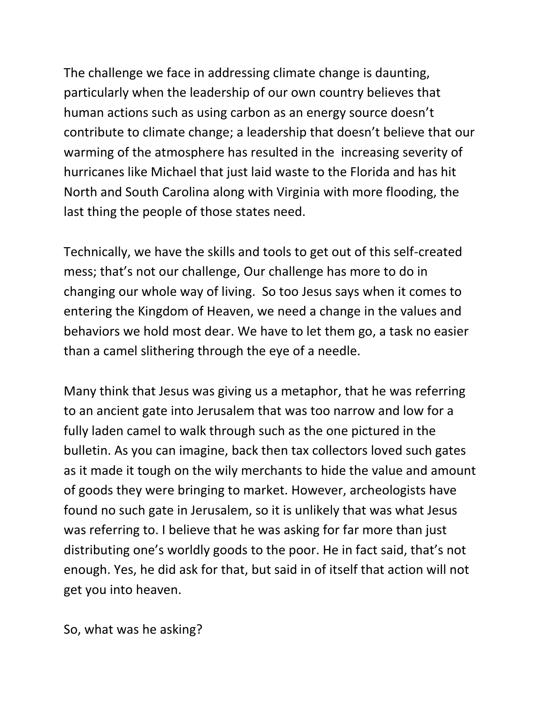The challenge we face in addressing climate change is daunting, particularly when the leadership of our own country believes that human actions such as using carbon as an energy source doesn't contribute to climate change; a leadership that doesn't believe that our warming of the atmosphere has resulted in the increasing severity of hurricanes like Michael that just laid waste to the Florida and has hit North and South Carolina along with Virginia with more flooding, the last thing the people of those states need.

Technically, we have the skills and tools to get out of this self-created mess; that's not our challenge, Our challenge has more to do in changing our whole way of living. So too Jesus says when it comes to entering the Kingdom of Heaven, we need a change in the values and behaviors we hold most dear. We have to let them go, a task no easier than a camel slithering through the eye of a needle.

Many think that Jesus was giving us a metaphor, that he was referring to an ancient gate into Jerusalem that was too narrow and low for a fully laden camel to walk through such as the one pictured in the bulletin. As you can imagine, back then tax collectors loved such gates as it made it tough on the wily merchants to hide the value and amount of goods they were bringing to market. However, archeologists have found no such gate in Jerusalem, so it is unlikely that was what Jesus was referring to. I believe that he was asking for far more than just distributing one's worldly goods to the poor. He in fact said, that's not enough. Yes, he did ask for that, but said in of itself that action will not get you into heaven.

So, what was he asking?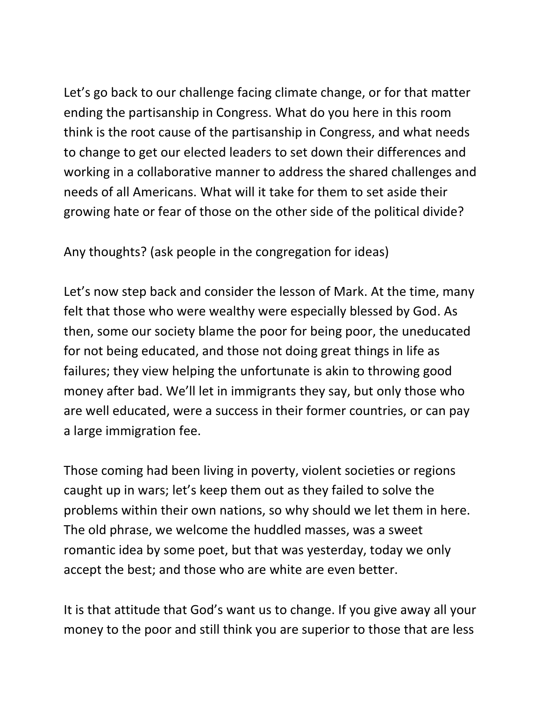Let's go back to our challenge facing climate change, or for that matter ending the partisanship in Congress. What do you here in this room think is the root cause of the partisanship in Congress, and what needs to change to get our elected leaders to set down their differences and working in a collaborative manner to address the shared challenges and needs of all Americans. What will it take for them to set aside their growing hate or fear of those on the other side of the political divide?

Any thoughts? (ask people in the congregation for ideas)

Let's now step back and consider the lesson of Mark. At the time, many felt that those who were wealthy were especially blessed by God. As then, some our society blame the poor for being poor, the uneducated for not being educated, and those not doing great things in life as failures; they view helping the unfortunate is akin to throwing good money after bad. We'll let in immigrants they say, but only those who are well educated, were a success in their former countries, or can pay a large immigration fee.

Those coming had been living in poverty, violent societies or regions caught up in wars; let's keep them out as they failed to solve the problems within their own nations, so why should we let them in here. The old phrase, we welcome the huddled masses, was a sweet romantic idea by some poet, but that was yesterday, today we only accept the best; and those who are white are even better.

It is that attitude that God's want us to change. If you give away all your money to the poor and still think you are superior to those that are less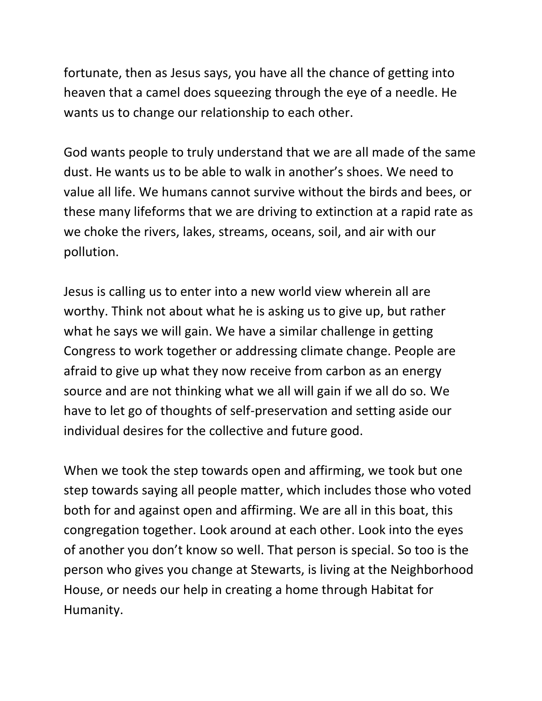fortunate, then as Jesus says, you have all the chance of getting into heaven that a camel does squeezing through the eye of a needle. He wants us to change our relationship to each other.

God wants people to truly understand that we are all made of the same dust. He wants us to be able to walk in another's shoes. We need to value all life. We humans cannot survive without the birds and bees, or these many lifeforms that we are driving to extinction at a rapid rate as we choke the rivers, lakes, streams, oceans, soil, and air with our pollution.

Jesus is calling us to enter into a new world view wherein all are worthy. Think not about what he is asking us to give up, but rather what he says we will gain. We have a similar challenge in getting Congress to work together or addressing climate change. People are afraid to give up what they now receive from carbon as an energy source and are not thinking what we all will gain if we all do so. We have to let go of thoughts of self-preservation and setting aside our individual desires for the collective and future good.

When we took the step towards open and affirming, we took but one step towards saying all people matter, which includes those who voted both for and against open and affirming. We are all in this boat, this congregation together. Look around at each other. Look into the eyes of another you don't know so well. That person is special. So too is the person who gives you change at Stewarts, is living at the Neighborhood House, or needs our help in creating a home through Habitat for Humanity.